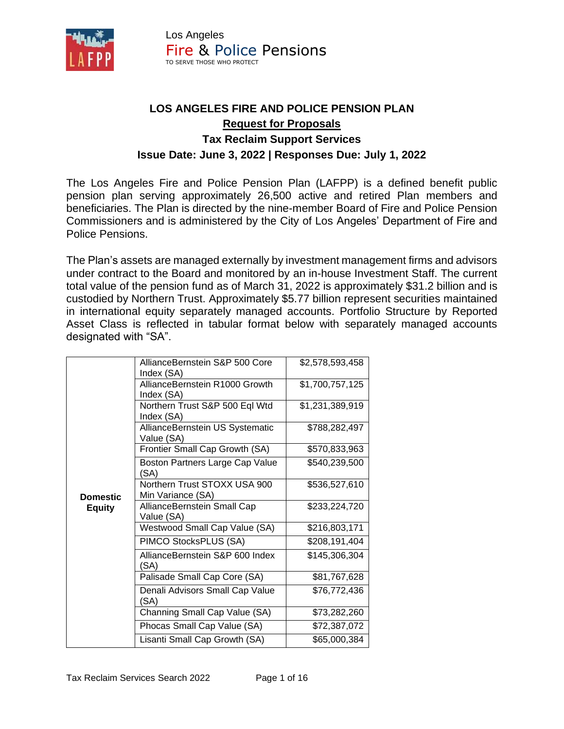

# **LOS ANGELES FIRE AND POLICE PENSION PLAN Request for Proposals Tax Reclaim Support Services Issue Date: June 3, 2022 | Responses Due: July 1, 2022**

The Los Angeles Fire and Police Pension Plan (LAFPP) is a defined benefit public pension plan serving approximately 26,500 active and retired Plan members and beneficiaries. The Plan is directed by the nine-member Board of Fire and Police Pension Commissioners and is administered by the City of Los Angeles' Department of Fire and Police Pensions.

The Plan's assets are managed externally by investment management firms and advisors under contract to the Board and monitored by an in-house Investment Staff. The current total value of the pension fund as of March 31, 2022 is approximately \$31.2 billion and is custodied by Northern Trust. Approximately \$5.77 billion represent securities maintained in international equity separately managed accounts. Portfolio Structure by Reported Asset Class is reflected in tabular format below with separately managed accounts designated with "SA".

|                 | AllianceBernstein S&P 500 Core<br>Index (SA)      | \$2,578,593,458 |
|-----------------|---------------------------------------------------|-----------------|
|                 | AllianceBernstein R1000 Growth<br>Index (SA)      | \$1,700,757,125 |
|                 | Northern Trust S&P 500 Eql Wtd<br>Index (SA)      | \$1,231,389,919 |
|                 | AllianceBernstein US Systematic<br>Value (SA)     | \$788,282,497   |
|                 | Frontier Small Cap Growth (SA)                    | \$570,833,963   |
|                 | Boston Partners Large Cap Value<br>'SA)           | \$540,239,500   |
| <b>Domestic</b> | Northern Trust STOXX USA 900<br>Min Variance (SA) | \$536,527,610   |
| <b>Equity</b>   | AllianceBernstein Small Cap<br>Value (SA)         | \$233,224,720   |
|                 | Westwood Small Cap Value (SA)                     | \$216,803,171   |
|                 | PIMCO StocksPLUS (SA)                             | \$208,191,404   |
|                 | AllianceBernstein S&P 600 Index<br>'SA)           | \$145,306,304   |
|                 | Palisade Small Cap Core (SA)                      | \$81,767,628    |
|                 | Denali Advisors Small Cap Value<br>'SA)           | \$76,772,436    |
|                 | Channing Small Cap Value (SA)                     | \$73,282,260    |
|                 | Phocas Small Cap Value (SA)                       | \$72,387,072    |
|                 | Lisanti Small Cap Growth (SA)                     | \$65,000,384    |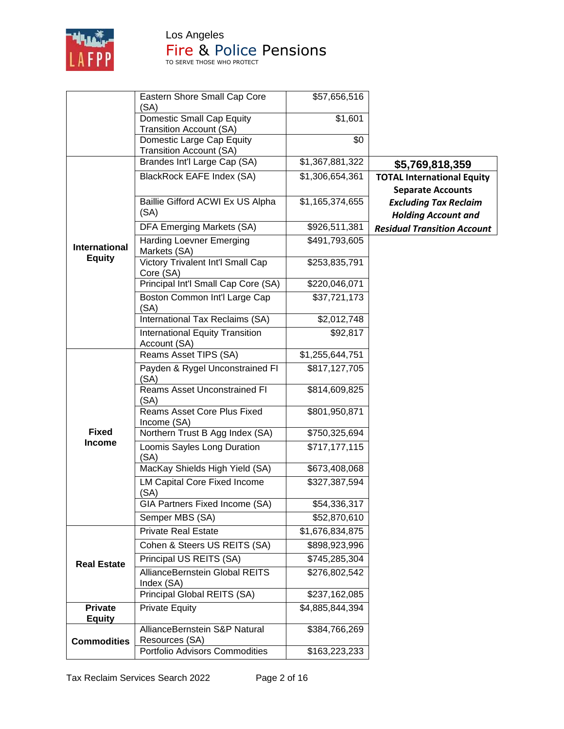

Los Angeles

# **Fire & Police Pensions**

| <b>Domestic Small Cap Equity</b><br>\$1,601<br><b>Transition Account (SA)</b><br>\$0<br>Domestic Large Cap Equity<br><b>Transition Account (SA)</b><br>Brandes Int'l Large Cap (SA)<br>\$1,367,881,322<br>\$5,769,818,359<br>BlackRock EAFE Index (SA)<br>\$1,306,654,361<br><b>TOTAL International Equity</b><br><b>Separate Accounts</b><br>Baillie Gifford ACWI Ex US Alpha<br>\$1,165,374,655<br><b>Excluding Tax Reclaim</b><br>(SA)<br><b>Holding Account and</b><br>DFA Emerging Markets (SA)<br>\$926,511,381<br><b>Residual Transition Account</b><br><b>Harding Loevner Emerging</b><br>\$491,793,605<br><b>International</b><br>Markets (SA)<br><b>Equity</b><br>Victory Trivalent Int'l Small Cap<br>\$253,835,791<br>Core (SA)<br>Principal Int'l Small Cap Core (SA)<br>\$220,046,071<br>Boston Common Int'l Large Cap<br>\$37,721,173 | Eastern Shore Small Cap Core<br>(SA) | \$57,656,516 |  |
|------------------------------------------------------------------------------------------------------------------------------------------------------------------------------------------------------------------------------------------------------------------------------------------------------------------------------------------------------------------------------------------------------------------------------------------------------------------------------------------------------------------------------------------------------------------------------------------------------------------------------------------------------------------------------------------------------------------------------------------------------------------------------------------------------------------------------------------------------|--------------------------------------|--------------|--|
|                                                                                                                                                                                                                                                                                                                                                                                                                                                                                                                                                                                                                                                                                                                                                                                                                                                      |                                      |              |  |
|                                                                                                                                                                                                                                                                                                                                                                                                                                                                                                                                                                                                                                                                                                                                                                                                                                                      |                                      |              |  |
|                                                                                                                                                                                                                                                                                                                                                                                                                                                                                                                                                                                                                                                                                                                                                                                                                                                      |                                      |              |  |
|                                                                                                                                                                                                                                                                                                                                                                                                                                                                                                                                                                                                                                                                                                                                                                                                                                                      |                                      |              |  |
|                                                                                                                                                                                                                                                                                                                                                                                                                                                                                                                                                                                                                                                                                                                                                                                                                                                      |                                      |              |  |
|                                                                                                                                                                                                                                                                                                                                                                                                                                                                                                                                                                                                                                                                                                                                                                                                                                                      |                                      |              |  |
|                                                                                                                                                                                                                                                                                                                                                                                                                                                                                                                                                                                                                                                                                                                                                                                                                                                      |                                      |              |  |
|                                                                                                                                                                                                                                                                                                                                                                                                                                                                                                                                                                                                                                                                                                                                                                                                                                                      |                                      |              |  |
|                                                                                                                                                                                                                                                                                                                                                                                                                                                                                                                                                                                                                                                                                                                                                                                                                                                      |                                      |              |  |
|                                                                                                                                                                                                                                                                                                                                                                                                                                                                                                                                                                                                                                                                                                                                                                                                                                                      | (SA)                                 |              |  |
| International Tax Reclaims (SA)<br>\$2,012,748                                                                                                                                                                                                                                                                                                                                                                                                                                                                                                                                                                                                                                                                                                                                                                                                       |                                      |              |  |
| <b>International Equity Transition</b><br>\$92,817<br>Account (SA)                                                                                                                                                                                                                                                                                                                                                                                                                                                                                                                                                                                                                                                                                                                                                                                   |                                      |              |  |
| Reams Asset TIPS (SA)<br>\$1,255,644,751                                                                                                                                                                                                                                                                                                                                                                                                                                                                                                                                                                                                                                                                                                                                                                                                             |                                      |              |  |
| Payden & Rygel Unconstrained FI<br>\$817,127,705<br>(SA)                                                                                                                                                                                                                                                                                                                                                                                                                                                                                                                                                                                                                                                                                                                                                                                             |                                      |              |  |
| <b>Reams Asset Unconstrained FI</b><br>\$814,609,825<br>(SA)                                                                                                                                                                                                                                                                                                                                                                                                                                                                                                                                                                                                                                                                                                                                                                                         |                                      |              |  |
| Reams Asset Core Plus Fixed<br>\$801,950,871<br>Income (SA)                                                                                                                                                                                                                                                                                                                                                                                                                                                                                                                                                                                                                                                                                                                                                                                          |                                      |              |  |
| <b>Fixed</b><br>Northern Trust B Agg Index (SA)<br>\$750,325,694                                                                                                                                                                                                                                                                                                                                                                                                                                                                                                                                                                                                                                                                                                                                                                                     |                                      |              |  |
| <b>Income</b><br>Loomis Sayles Long Duration<br>\$717,177,115<br>(SA)                                                                                                                                                                                                                                                                                                                                                                                                                                                                                                                                                                                                                                                                                                                                                                                |                                      |              |  |
| MacKay Shields High Yield (SA)<br>\$673,408,068                                                                                                                                                                                                                                                                                                                                                                                                                                                                                                                                                                                                                                                                                                                                                                                                      |                                      |              |  |
| <b>LM Capital Core Fixed Income</b><br>\$327,387,594<br>(SA)                                                                                                                                                                                                                                                                                                                                                                                                                                                                                                                                                                                                                                                                                                                                                                                         |                                      |              |  |
| GIA Partners Fixed Income (SA)<br>\$54,336,317                                                                                                                                                                                                                                                                                                                                                                                                                                                                                                                                                                                                                                                                                                                                                                                                       |                                      |              |  |
| Semper MBS (SA)<br>\$52,870,610                                                                                                                                                                                                                                                                                                                                                                                                                                                                                                                                                                                                                                                                                                                                                                                                                      |                                      |              |  |
| <b>Private Real Estate</b><br>\$1,676,834,875                                                                                                                                                                                                                                                                                                                                                                                                                                                                                                                                                                                                                                                                                                                                                                                                        |                                      |              |  |
| Cohen & Steers US REITS (SA)<br>\$898,923,996                                                                                                                                                                                                                                                                                                                                                                                                                                                                                                                                                                                                                                                                                                                                                                                                        |                                      |              |  |
| Principal US REITS (SA)<br>\$745,285,304<br><b>Real Estate</b>                                                                                                                                                                                                                                                                                                                                                                                                                                                                                                                                                                                                                                                                                                                                                                                       |                                      |              |  |
| AllianceBernstein Global REITS<br>\$276,802,542<br>Index (SA)                                                                                                                                                                                                                                                                                                                                                                                                                                                                                                                                                                                                                                                                                                                                                                                        |                                      |              |  |
| Principal Global REITS (SA)<br>\$237,162,085                                                                                                                                                                                                                                                                                                                                                                                                                                                                                                                                                                                                                                                                                                                                                                                                         |                                      |              |  |
| <b>Private</b><br><b>Private Equity</b><br>\$4,885,844,394                                                                                                                                                                                                                                                                                                                                                                                                                                                                                                                                                                                                                                                                                                                                                                                           |                                      |              |  |
| <b>Equity</b>                                                                                                                                                                                                                                                                                                                                                                                                                                                                                                                                                                                                                                                                                                                                                                                                                                        |                                      |              |  |
| AllianceBernstein S&P Natural<br>\$384,766,269<br>Resources (SA)                                                                                                                                                                                                                                                                                                                                                                                                                                                                                                                                                                                                                                                                                                                                                                                     |                                      |              |  |
| <b>Commodities</b><br>Portfolio Advisors Commodities<br>\$163,223,233                                                                                                                                                                                                                                                                                                                                                                                                                                                                                                                                                                                                                                                                                                                                                                                |                                      |              |  |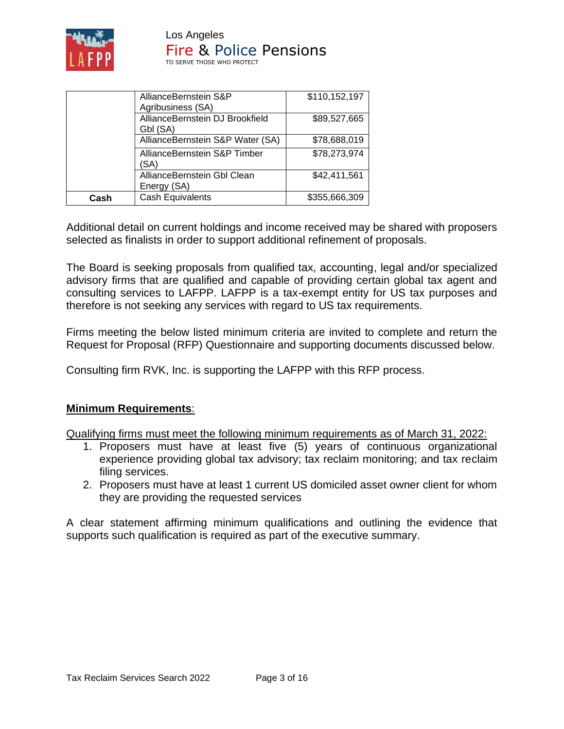

|      | AllianceBernstein S&P                                | \$110,152,197 |
|------|------------------------------------------------------|---------------|
|      | Agribusiness (SA)<br>AllianceBernstein DJ Brookfield | \$89,527,665  |
|      | Gbl (SA)<br>AllianceBernstein S&P Water (SA)         | \$78,688,019  |
|      | AllianceBernstein S&P Timber<br>(SA)                 | \$78,273,974  |
|      | AllianceBernstein Gbl Clean<br>Energy (SA)           | \$42,411,561  |
| Cash | <b>Cash Equivalents</b>                              | \$355,666,309 |

Additional detail on current holdings and income received may be shared with proposers selected as finalists in order to support additional refinement of proposals.

The Board is seeking proposals from qualified tax, accounting, legal and/or specialized advisory firms that are qualified and capable of providing certain global tax agent and consulting services to LAFPP. LAFPP is a tax-exempt entity for US tax purposes and therefore is not seeking any services with regard to US tax requirements.

Firms meeting the below listed minimum criteria are invited to complete and return the Request for Proposal (RFP) Questionnaire and supporting documents discussed below.

Consulting firm RVK, Inc. is supporting the LAFPP with this RFP process.

#### **Minimum Requirements**:

Qualifying firms must meet the following minimum requirements as of March 31, 2022:

- 1. Proposers must have at least five (5) years of continuous organizational experience providing global tax advisory; tax reclaim monitoring; and tax reclaim filing services.
- 2. Proposers must have at least 1 current US domiciled asset owner client for whom they are providing the requested services

A clear statement affirming minimum qualifications and outlining the evidence that supports such qualification is required as part of the executive summary.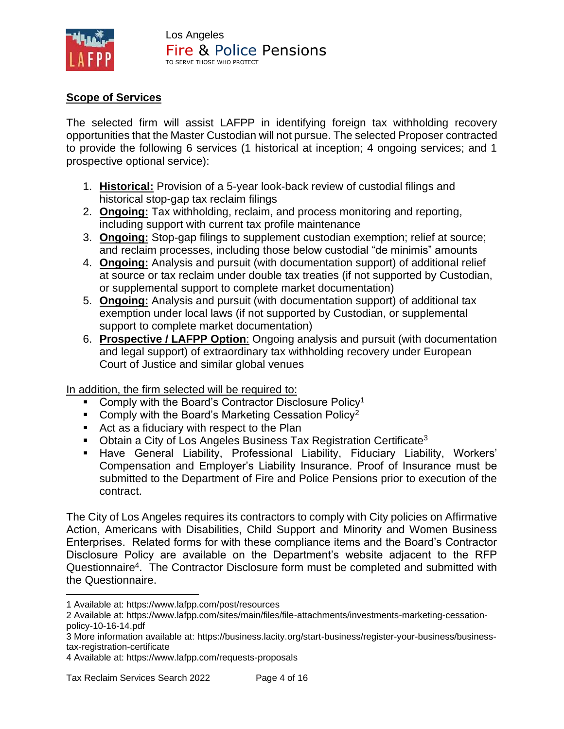

# **Scope of Services**

The selected firm will assist LAFPP in identifying foreign tax withholding recovery opportunities that the Master Custodian will not pursue. The selected Proposer contracted to provide the following 6 services (1 historical at inception; 4 ongoing services; and 1 prospective optional service):

- 1. **Historical:** Provision of a 5-year look-back review of custodial filings and historical stop-gap tax reclaim filings
- 2. **Ongoing:** Tax withholding, reclaim, and process monitoring and reporting, including support with current tax profile maintenance
- 3. **Ongoing:** Stop-gap filings to supplement custodian exemption; relief at source; and reclaim processes, including those below custodial "de minimis" amounts
- 4. **Ongoing:** Analysis and pursuit (with documentation support) of additional relief at source or tax reclaim under double tax treaties (if not supported by Custodian, or supplemental support to complete market documentation)
- 5. **Ongoing:** Analysis and pursuit (with documentation support) of additional tax exemption under local laws (if not supported by Custodian, or supplemental support to complete market documentation)
- 6. **Prospective / LAFPP Option**: Ongoing analysis and pursuit (with documentation and legal support) of extraordinary tax withholding recovery under European Court of Justice and similar global venues

In addition, the firm selected will be required to:

- **Comply with the Board's Contractor Disclosure Policy<sup>1</sup>**
- **Comply with the Board's Marketing Cessation Policy**<sup>2</sup>
- Act as a fiduciary with respect to the Plan
- **Obtain a City of Los Angeles Business Tax Registration Certificate**<sup>3</sup>
- Have General Liability, Professional Liability, Fiduciary Liability, Workers' Compensation and Employer's Liability Insurance. Proof of Insurance must be submitted to the Department of Fire and Police Pensions prior to execution of the contract.

The City of Los Angeles requires its contractors to comply with City policies on Affirmative Action, Americans with Disabilities, Child Support and Minority and Women Business Enterprises. Related forms for with these compliance items and the Board's Contractor Disclosure Policy are available on the Department's website adjacent to the RFP Questionnaire<sup>4</sup>. The Contractor Disclosure form must be completed and submitted with the Questionnaire.

<sup>1</sup> Available at: https://www.lafpp.com/post/resources

<sup>2</sup> Available at: https://www.lafpp.com/sites/main/files/file-attachments/investments-marketing-cessationpolicy-10-16-14.pdf

<sup>3</sup> More information available at: https://business.lacity.org/start-business/register-your-business/businesstax-registration-certificate

<sup>4</sup> Available at: https://www.lafpp.com/requests-proposals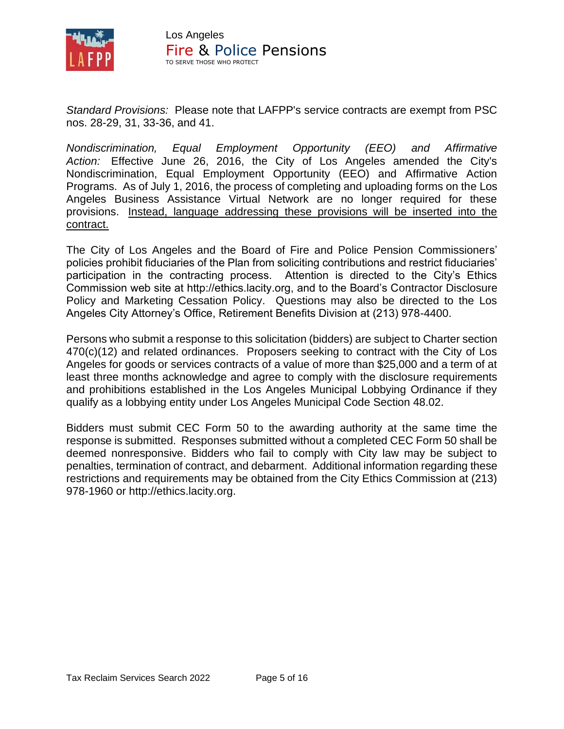

*Standard Provisions:* Please note that LAFPP's service contracts are exempt from PSC nos. 28-29, 31, 33-36, and 41.

*Nondiscrimination, Equal Employment Opportunity (EEO) and Affirmative Action:* Effective June 26, 2016, the City of Los Angeles amended the City's Nondiscrimination, Equal Employment Opportunity (EEO) and Affirmative Action Programs. As of July 1, 2016, the process of completing and uploading forms on the Los Angeles Business Assistance Virtual Network are no longer required for these provisions. Instead, language addressing these provisions will be inserted into the contract.

The City of Los Angeles and the Board of Fire and Police Pension Commissioners' policies prohibit fiduciaries of the Plan from soliciting contributions and restrict fiduciaries' participation in the contracting process. Attention is directed to the City's Ethics Commission web site at http://ethics.lacity.org, and to the Board's Contractor Disclosure Policy and Marketing Cessation Policy. Questions may also be directed to the Los Angeles City Attorney's Office, Retirement Benefits Division at (213) 978-4400.

Persons who submit a response to this solicitation (bidders) are subject to Charter section 470(c)(12) and related ordinances. Proposers seeking to contract with the City of Los Angeles for goods or services contracts of a value of more than \$25,000 and a term of at least three months acknowledge and agree to comply with the disclosure requirements and prohibitions established in the Los Angeles Municipal Lobbying Ordinance if they qualify as a lobbying entity under Los Angeles Municipal Code Section 48.02.

Bidders must submit CEC Form 50 to the awarding authority at the same time the response is submitted. Responses submitted without a completed CEC Form 50 shall be deemed nonresponsive. Bidders who fail to comply with City law may be subject to penalties, termination of contract, and debarment. Additional information regarding these restrictions and requirements may be obtained from the City Ethics Commission at (213) 978-1960 or [http://ethics.lacity.org.](http://ethics.lacity.org/)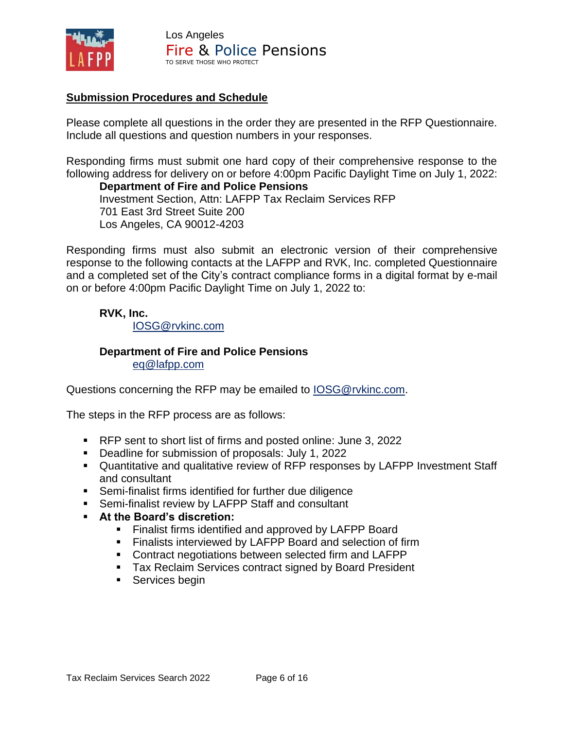

# **Submission Procedures and Schedule**

Please complete all questions in the order they are presented in the RFP Questionnaire. Include all questions and question numbers in your responses.

Responding firms must submit one hard copy of their comprehensive response to the following address for delivery on or before 4:00pm Pacific Daylight Time on July 1, 2022:

**Department of Fire and Police Pensions** Investment Section, Attn: LAFPP Tax Reclaim Services RFP 701 East 3rd Street Suite 200 Los Angeles, CA 90012-4203

Responding firms must also submit an electronic version of their comprehensive response to the following contacts at the LAFPP and RVK, Inc. completed Questionnaire and a completed set of the City's contract compliance forms in a digital format by e-mail on or before 4:00pm Pacific Daylight Time on July 1, 2022 to:

### **RVK, Inc.**

[IOSG@rvkinc.com](mailto:IOSG@rvkinc.com)

#### **Department of Fire and Police Pensions** [eq@lafpp.com](mailto:eq@lafpp.com)

Questions concerning the RFP may be emailed to [IOSG@rvkinc.com.](mailto:IOSG@rvkinc.com)

The steps in the RFP process are as follows:

- RFP sent to short list of firms and posted online: June 3, 2022
- Deadline for submission of proposals: July 1, 2022
- Quantitative and qualitative review of RFP responses by LAFPP Investment Staff and consultant
- Semi-finalist firms identified for further due diligence
- Semi-finalist review by LAFPP Staff and consultant
- **At the Board's discretion:**
	- Finalist firms identified and approved by LAFPP Board
	- Finalists interviewed by LAFPP Board and selection of firm
	- Contract negotiations between selected firm and LAFPP
	- Tax Reclaim Services contract signed by Board President
	- Services begin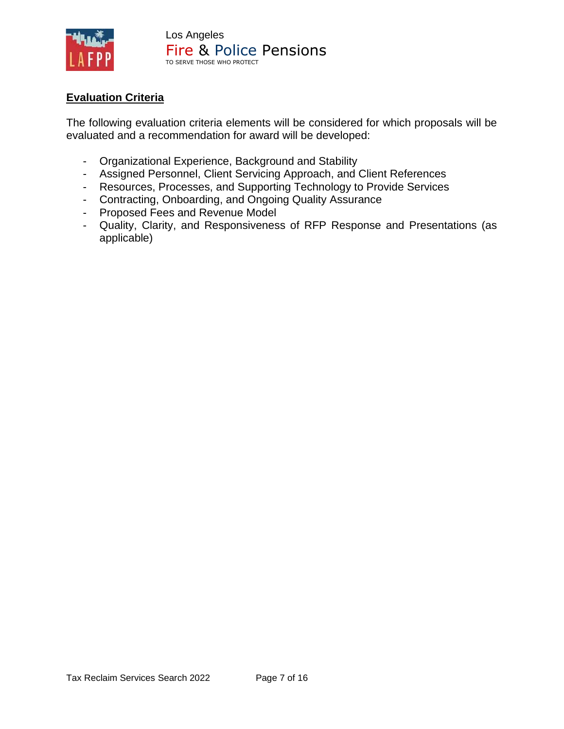

# **Evaluation Criteria**

The following evaluation criteria elements will be considered for which proposals will be evaluated and a recommendation for award will be developed:

- Organizational Experience, Background and Stability
- Assigned Personnel, Client Servicing Approach, and Client References
- Resources, Processes, and Supporting Technology to Provide Services
- Contracting, Onboarding, and Ongoing Quality Assurance
- Proposed Fees and Revenue Model
- Quality, Clarity, and Responsiveness of RFP Response and Presentations (as applicable)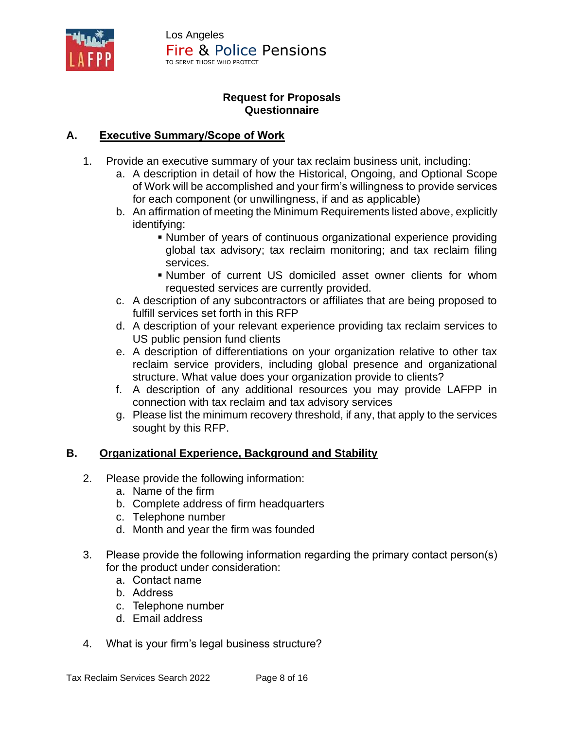

# **Request for Proposals Questionnaire**

# **A. Executive Summary/Scope of Work**

- 1. Provide an executive summary of your tax reclaim business unit, including:
	- a. A description in detail of how the Historical, Ongoing, and Optional Scope of Work will be accomplished and your firm's willingness to provide services for each component (or unwillingness, if and as applicable)
	- b. An affirmation of meeting the Minimum Requirements listed above, explicitly identifying:
		- **Number of years of continuous organizational experience providing** global tax advisory; tax reclaim monitoring; and tax reclaim filing services.
		- Number of current US domiciled asset owner clients for whom requested services are currently provided.
	- c. A description of any subcontractors or affiliates that are being proposed to fulfill services set forth in this RFP
	- d. A description of your relevant experience providing tax reclaim services to US public pension fund clients
	- e. A description of differentiations on your organization relative to other tax reclaim service providers, including global presence and organizational structure. What value does your organization provide to clients?
	- f. A description of any additional resources you may provide LAFPP in connection with tax reclaim and tax advisory services
	- g. Please list the minimum recovery threshold, if any, that apply to the services sought by this RFP.

# **B. Organizational Experience, Background and Stability**

- 2. Please provide the following information:
	- a. Name of the firm
	- b. Complete address of firm headquarters
	- c. Telephone number
	- d. Month and year the firm was founded
- 3. Please provide the following information regarding the primary contact person(s) for the product under consideration:
	- a. Contact name
	- b. Address
	- c. Telephone number
	- d. Email address
- 4. What is your firm's legal business structure?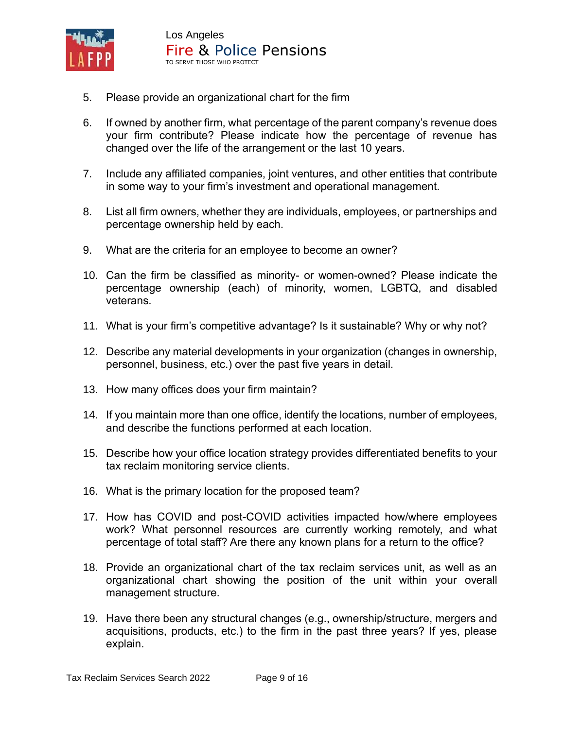

- 5. Please provide an organizational chart for the firm
- 6. If owned by another firm, what percentage of the parent company's revenue does your firm contribute? Please indicate how the percentage of revenue has changed over the life of the arrangement or the last 10 years.
- 7. Include any affiliated companies, joint ventures, and other entities that contribute in some way to your firm's investment and operational management.
- 8. List all firm owners, whether they are individuals, employees, or partnerships and percentage ownership held by each.
- 9. What are the criteria for an employee to become an owner?
- 10. Can the firm be classified as minority- or women-owned? Please indicate the percentage ownership (each) of minority, women, LGBTQ, and disabled veterans.
- 11. What is your firm's competitive advantage? Is it sustainable? Why or why not?
- 12. Describe any material developments in your organization (changes in ownership, personnel, business, etc.) over the past five years in detail.
- 13. How many offices does your firm maintain?
- 14. If you maintain more than one office, identify the locations, number of employees, and describe the functions performed at each location.
- 15. Describe how your office location strategy provides differentiated benefits to your tax reclaim monitoring service clients.
- 16. What is the primary location for the proposed team?
- 17. How has COVID and post-COVID activities impacted how/where employees work? What personnel resources are currently working remotely, and what percentage of total staff? Are there any known plans for a return to the office?
- 18. Provide an organizational chart of the tax reclaim services unit, as well as an organizational chart showing the position of the unit within your overall management structure.
- 19. Have there been any structural changes (e.g., ownership/structure, mergers and acquisitions, products, etc.) to the firm in the past three years? If yes, please explain.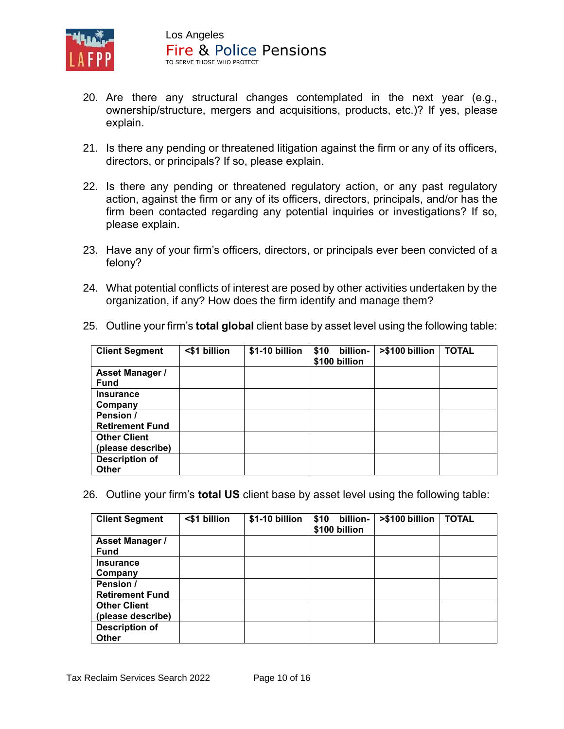

- 20. Are there any structural changes contemplated in the next year (e.g., ownership/structure, mergers and acquisitions, products, etc.)? If yes, please explain.
- 21. Is there any pending or threatened litigation against the firm or any of its officers, directors, or principals? If so, please explain.
- 22. Is there any pending or threatened regulatory action, or any past regulatory action, against the firm or any of its officers, directors, principals, and/or has the firm been contacted regarding any potential inquiries or investigations? If so, please explain.
- 23. Have any of your firm's officers, directors, or principals ever been convicted of a felony?
- 24. What potential conflicts of interest are posed by other activities undertaken by the organization, if any? How does the firm identify and manage them?

| <b>Client Segment</b>  | <\$1 billion | \$1-10 billion | \$10<br>billion-<br>\$100 billion | >\$100 billion | <b>TOTAL</b> |
|------------------------|--------------|----------------|-----------------------------------|----------------|--------------|
| <b>Asset Manager /</b> |              |                |                                   |                |              |
| <b>Fund</b>            |              |                |                                   |                |              |
| <b>Insurance</b>       |              |                |                                   |                |              |
| Company                |              |                |                                   |                |              |
| Pension /              |              |                |                                   |                |              |
| <b>Retirement Fund</b> |              |                |                                   |                |              |
| <b>Other Client</b>    |              |                |                                   |                |              |
| (please describe)      |              |                |                                   |                |              |
| <b>Description of</b>  |              |                |                                   |                |              |
| <b>Other</b>           |              |                |                                   |                |              |

25. Outline your firm's **total global** client base by asset level using the following table:

26. Outline your firm's **total US** client base by asset level using the following table:

| <b>Client Segment</b>  | <\$1 billion | \$1-10 billion | \$10<br>billion-<br>\$100 billion | >\$100 billion | <b>TOTAL</b> |
|------------------------|--------------|----------------|-----------------------------------|----------------|--------------|
| <b>Asset Manager /</b> |              |                |                                   |                |              |
| <b>Fund</b>            |              |                |                                   |                |              |
| <b>Insurance</b>       |              |                |                                   |                |              |
| Company                |              |                |                                   |                |              |
| Pension /              |              |                |                                   |                |              |
| <b>Retirement Fund</b> |              |                |                                   |                |              |
| <b>Other Client</b>    |              |                |                                   |                |              |
| (please describe)      |              |                |                                   |                |              |
| <b>Description of</b>  |              |                |                                   |                |              |
| <b>Other</b>           |              |                |                                   |                |              |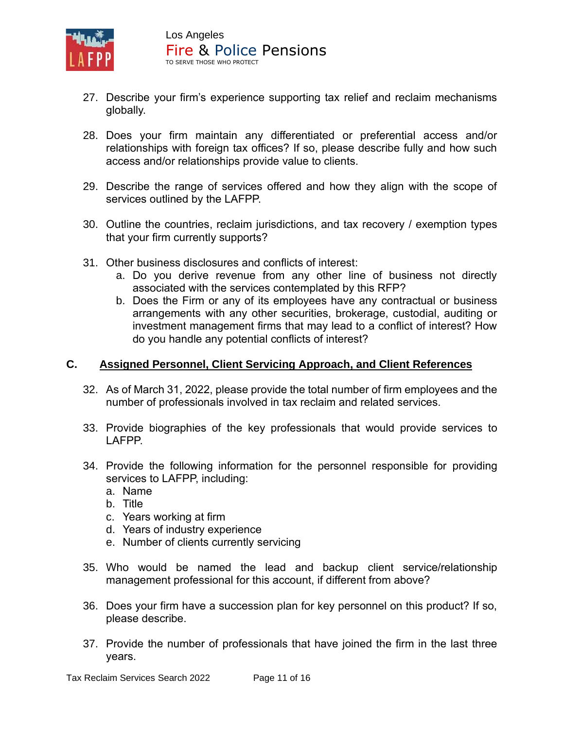

- 27. Describe your firm's experience supporting tax relief and reclaim mechanisms globally.
- 28. Does your firm maintain any differentiated or preferential access and/or relationships with foreign tax offices? If so, please describe fully and how such access and/or relationships provide value to clients.
- 29. Describe the range of services offered and how they align with the scope of services outlined by the LAFPP.
- 30. Outline the countries, reclaim jurisdictions, and tax recovery / exemption types that your firm currently supports?
- 31. Other business disclosures and conflicts of interest:
	- a. Do you derive revenue from any other line of business not directly associated with the services contemplated by this RFP?
	- b. Does the Firm or any of its employees have any contractual or business arrangements with any other securities, brokerage, custodial, auditing or investment management firms that may lead to a conflict of interest? How do you handle any potential conflicts of interest?

# **C. Assigned Personnel, Client Servicing Approach, and Client References**

- 32. As of March 31, 2022, please provide the total number of firm employees and the number of professionals involved in tax reclaim and related services.
- 33. Provide biographies of the key professionals that would provide services to LAFPP.
- 34. Provide the following information for the personnel responsible for providing services to LAFPP, including:
	- a. Name
	- b. Title
	- c. Years working at firm
	- d. Years of industry experience
	- e. Number of clients currently servicing
- 35. Who would be named the lead and backup client service/relationship management professional for this account, if different from above?
- 36. Does your firm have a succession plan for key personnel on this product? If so, please describe.
- 37. Provide the number of professionals that have joined the firm in the last three years.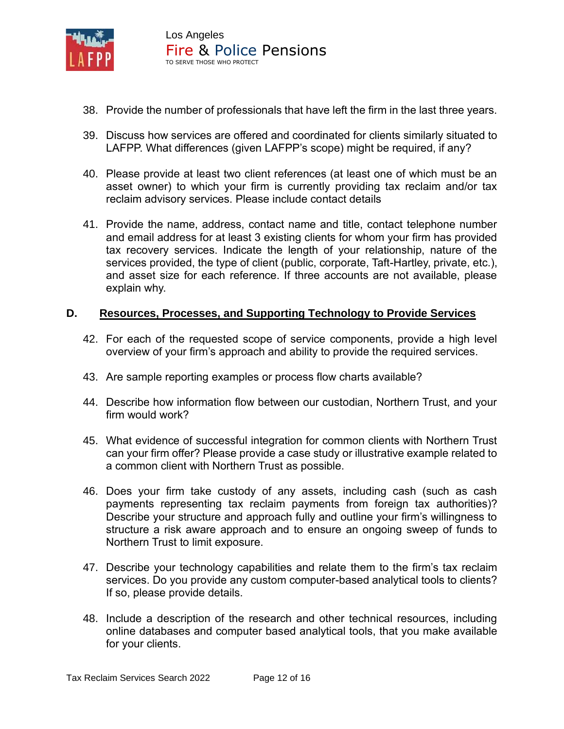

- 38. Provide the number of professionals that have left the firm in the last three years.
- 39. Discuss how services are offered and coordinated for clients similarly situated to LAFPP. What differences (given LAFPP's scope) might be required, if any?
- 40. Please provide at least two client references (at least one of which must be an asset owner) to which your firm is currently providing tax reclaim and/or tax reclaim advisory services. Please include contact details
- 41. Provide the name, address, contact name and title, contact telephone number and email address for at least 3 existing clients for whom your firm has provided tax recovery services. Indicate the length of your relationship, nature of the services provided, the type of client (public, corporate, Taft-Hartley, private, etc.), and asset size for each reference. If three accounts are not available, please explain why.

### **D. Resources, Processes, and Supporting Technology to Provide Services**

- 42. For each of the requested scope of service components, provide a high level overview of your firm's approach and ability to provide the required services.
- 43. Are sample reporting examples or process flow charts available?
- 44. Describe how information flow between our custodian, Northern Trust, and your firm would work?
- 45. What evidence of successful integration for common clients with Northern Trust can your firm offer? Please provide a case study or illustrative example related to a common client with Northern Trust as possible.
- 46. Does your firm take custody of any assets, including cash (such as cash payments representing tax reclaim payments from foreign tax authorities)? Describe your structure and approach fully and outline your firm's willingness to structure a risk aware approach and to ensure an ongoing sweep of funds to Northern Trust to limit exposure.
- 47. Describe your technology capabilities and relate them to the firm's tax reclaim services. Do you provide any custom computer-based analytical tools to clients? If so, please provide details.
- 48. Include a description of the research and other technical resources, including online databases and computer based analytical tools, that you make available for your clients.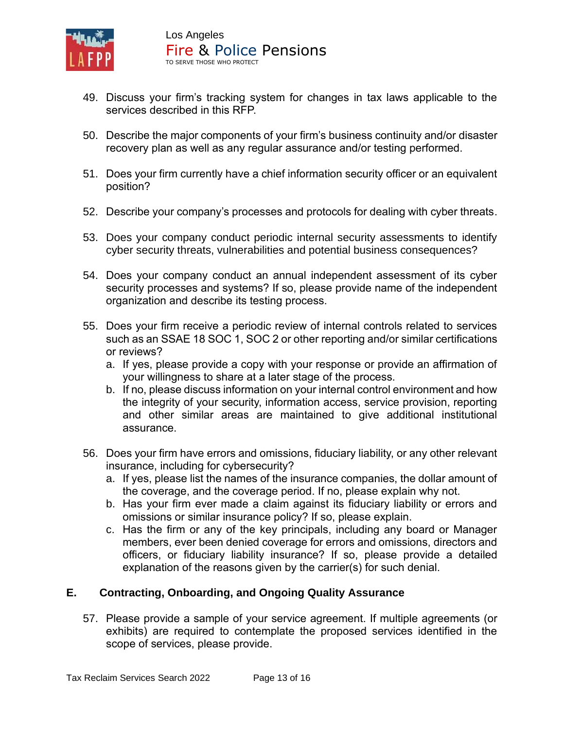

- 49. Discuss your firm's tracking system for changes in tax laws applicable to the services described in this RFP.
- 50. Describe the major components of your firm's business continuity and/or disaster recovery plan as well as any regular assurance and/or testing performed.
- 51. Does your firm currently have a chief information security officer or an equivalent position?
- 52. Describe your company's processes and protocols for dealing with cyber threats.
- 53. Does your company conduct periodic internal security assessments to identify cyber security threats, vulnerabilities and potential business consequences?
- 54. Does your company conduct an annual independent assessment of its cyber security processes and systems? If so, please provide name of the independent organization and describe its testing process.
- 55. Does your firm receive a periodic review of internal controls related to services such as an SSAE 18 SOC 1, SOC 2 or other reporting and/or similar certifications or reviews?
	- a. If yes, please provide a copy with your response or provide an affirmation of your willingness to share at a later stage of the process.
	- b. If no, please discuss information on your internal control environment and how the integrity of your security, information access, service provision, reporting and other similar areas are maintained to give additional institutional assurance.
- 56. Does your firm have errors and omissions, fiduciary liability, or any other relevant insurance, including for cybersecurity?
	- a. If yes, please list the names of the insurance companies, the dollar amount of the coverage, and the coverage period. If no, please explain why not.
	- b. Has your firm ever made a claim against its fiduciary liability or errors and omissions or similar insurance policy? If so, please explain.
	- c. Has the firm or any of the key principals, including any board or Manager members, ever been denied coverage for errors and omissions, directors and officers, or fiduciary liability insurance? If so, please provide a detailed explanation of the reasons given by the carrier(s) for such denial.

# **E. Contracting, Onboarding, and Ongoing Quality Assurance**

57. Please provide a sample of your service agreement. If multiple agreements (or exhibits) are required to contemplate the proposed services identified in the scope of services, please provide.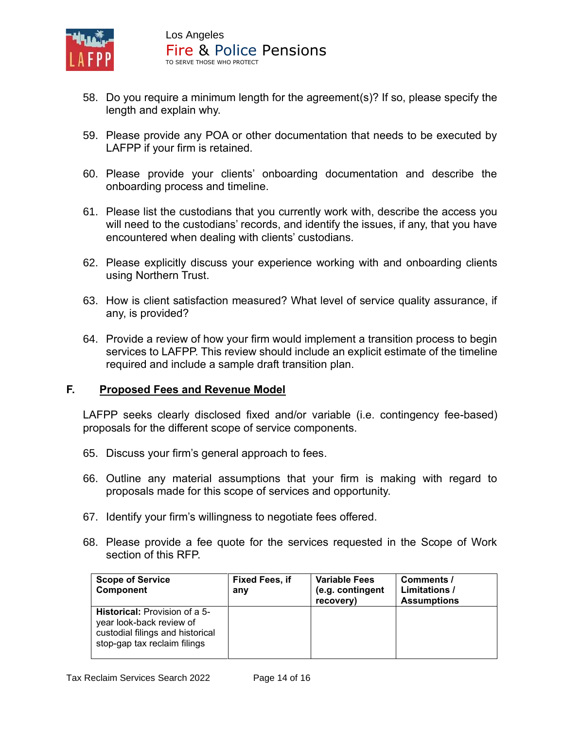

- 58. Do you require a minimum length for the agreement(s)? If so, please specify the length and explain why.
- 59. Please provide any POA or other documentation that needs to be executed by LAFPP if your firm is retained.
- 60. Please provide your clients' onboarding documentation and describe the onboarding process and timeline.
- 61. Please list the custodians that you currently work with, describe the access you will need to the custodians' records, and identify the issues, if any, that you have encountered when dealing with clients' custodians.
- 62. Please explicitly discuss your experience working with and onboarding clients using Northern Trust.
- 63. How is client satisfaction measured? What level of service quality assurance, if any, is provided?
- 64. Provide a review of how your firm would implement a transition process to begin services to LAFPP. This review should include an explicit estimate of the timeline required and include a sample draft transition plan.

#### **F. Proposed Fees and Revenue Model**

LAFPP seeks clearly disclosed fixed and/or variable (i.e. contingency fee-based) proposals for the different scope of service components.

- 65. Discuss your firm's general approach to fees.
- 66. Outline any material assumptions that your firm is making with regard to proposals made for this scope of services and opportunity.
- 67. Identify your firm's willingness to negotiate fees offered.
- 68. Please provide a fee quote for the services requested in the Scope of Work section of this RFP.

| <b>Scope of Service</b><br><b>Component</b>                                                                                          | <b>Fixed Fees, if</b><br>any | <b>Variable Fees</b><br>(e.g. contingent<br>recovery) | Comments /<br>Limitations /<br><b>Assumptions</b> |
|--------------------------------------------------------------------------------------------------------------------------------------|------------------------------|-------------------------------------------------------|---------------------------------------------------|
| <b>Historical:</b> Provision of a 5-<br>year look-back review of<br>custodial filings and historical<br>stop-gap tax reclaim filings |                              |                                                       |                                                   |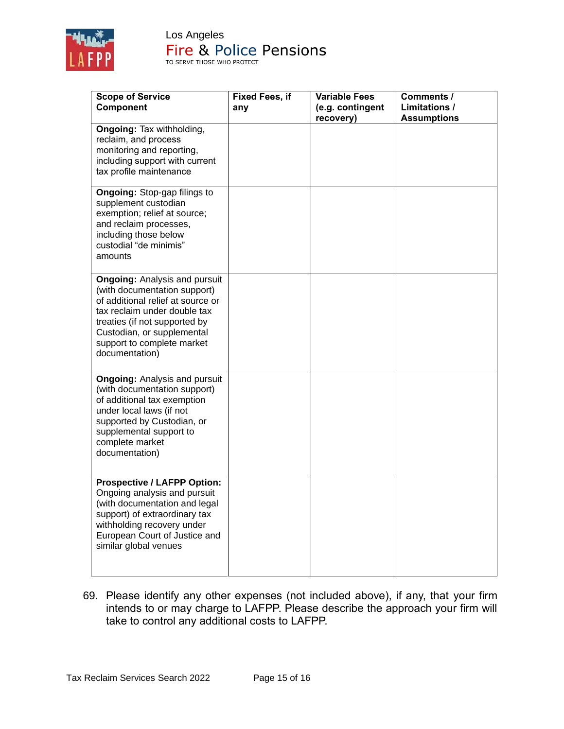

| <b>Scope of Service</b><br>Component                                                                                                                                                                                                                     | <b>Fixed Fees, if</b><br>any | <b>Variable Fees</b><br>(e.g. contingent<br>recovery) | Comments /<br><b>Limitations /</b><br><b>Assumptions</b> |
|----------------------------------------------------------------------------------------------------------------------------------------------------------------------------------------------------------------------------------------------------------|------------------------------|-------------------------------------------------------|----------------------------------------------------------|
| <b>Ongoing: Tax withholding,</b><br>reclaim, and process<br>monitoring and reporting,<br>including support with current<br>tax profile maintenance                                                                                                       |                              |                                                       |                                                          |
| <b>Ongoing: Stop-gap filings to</b><br>supplement custodian<br>exemption; relief at source;<br>and reclaim processes,<br>including those below<br>custodial "de minimis"<br>amounts                                                                      |                              |                                                       |                                                          |
| <b>Ongoing: Analysis and pursuit</b><br>(with documentation support)<br>of additional relief at source or<br>tax reclaim under double tax<br>treaties (if not supported by<br>Custodian, or supplemental<br>support to complete market<br>documentation) |                              |                                                       |                                                          |
| <b>Ongoing: Analysis and pursuit</b><br>(with documentation support)<br>of additional tax exemption<br>under local laws (if not<br>supported by Custodian, or<br>supplemental support to<br>complete market<br>documentation)                            |                              |                                                       |                                                          |
| <b>Prospective / LAFPP Option:</b><br>Ongoing analysis and pursuit<br>(with documentation and legal<br>support) of extraordinary tax<br>withholding recovery under<br>European Court of Justice and<br>similar global venues                             |                              |                                                       |                                                          |

69. Please identify any other expenses (not included above), if any, that your firm intends to or may charge to LAFPP. Please describe the approach your firm will take to control any additional costs to LAFPP.